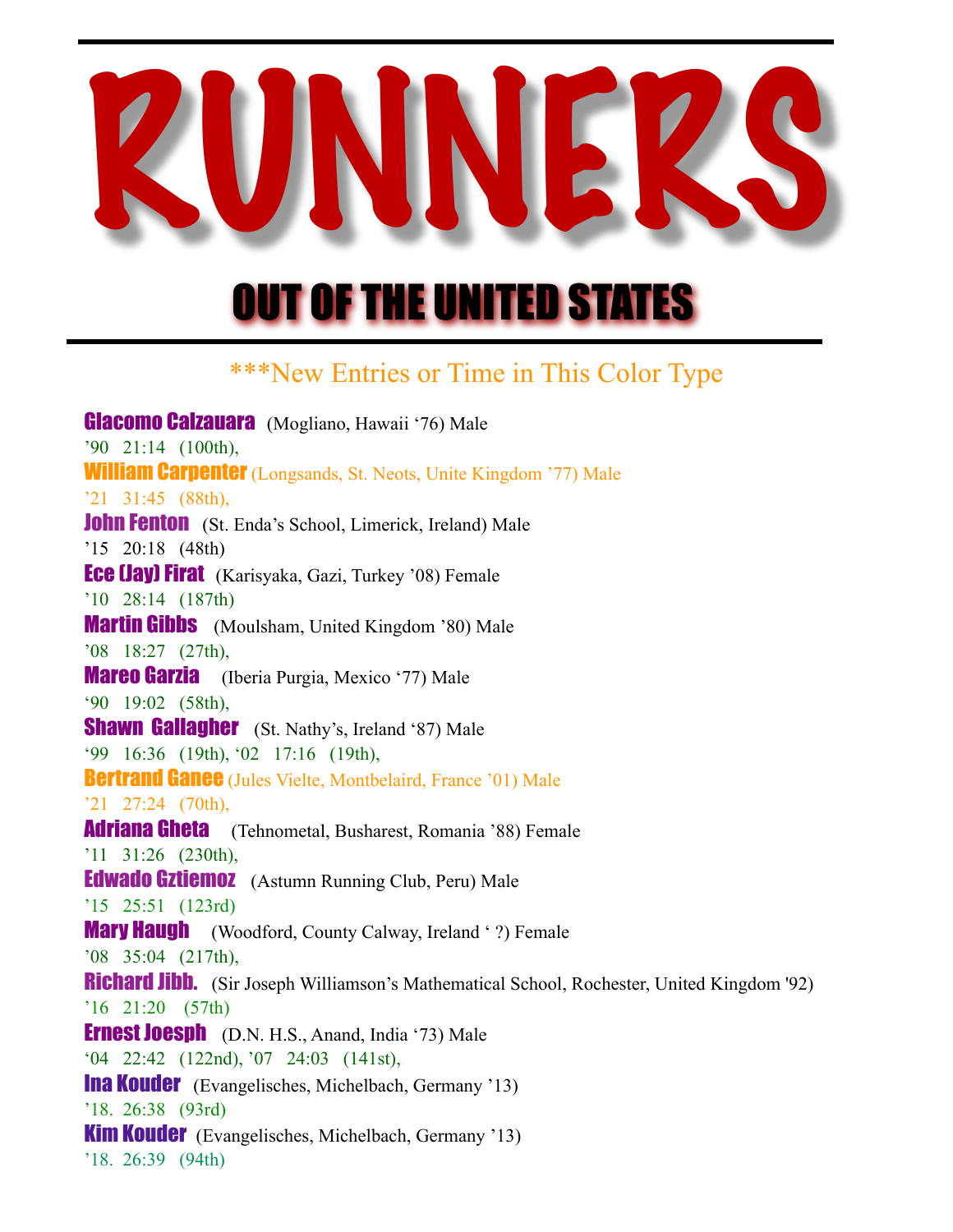## RUNNERS

## OUT OF THE UNITED STATES

## \*\*\*New Entries or Time in This Color Type

Glacomo Calzauara (Mogliano, Hawaii '76) Male '90 21:14 (100th), **William Carpenter** (Longsands, St. Neots, Unite Kingdom '77) Male '21 31:45 (88th), **John Fenton** (St. Enda's School, Limerick, Ireland) Male '15 20:18 (48th) **Ece (Jay) Firat** (Karisyaka, Gazi, Turkey '08) Female '10 28:14 (187th) **Martin Gibbs** (Moulsham, United Kingdom '80) Male '08 18:27 (27th), **Mareo Garzia** (Iberia Purgia, Mexico '77) Male '90 19:02 (58th), **Shawn Gallagher** (St. Nathy's, Ireland '87) Male '99 16:36 (19th), '02 17:16 (19th), **Bertrand Ganee** (Jules Vielte, Montbelaird, France '01) Male '21 27:24 (70th), Adriana Gheta (Tehnometal, Busharest, Romania '88) Female '11 31:26 (230th), Edwado Gztiemoz (Astumn Running Club, Peru) Male '15 25:51 (123rd) **Mary Haugh** (Woodford, County Calway, Ireland ' ?) Female '08 35:04 (217th), Richard Jibb. (Sir Joseph Williamson's Mathematical School, Rochester, United Kingdom '92) '16 21:20 (57th) Ernest Joesph (D.N. H.S., Anand, India '73) Male '04 22:42 (122nd), '07 24:03 (141st), Ina Kouder (Evangelisches, Michelbach, Germany '13) '18. 26:38 (93rd) Kim Kouder (Evangelisches, Michelbach, Germany '13) '18. 26:39 (94th)